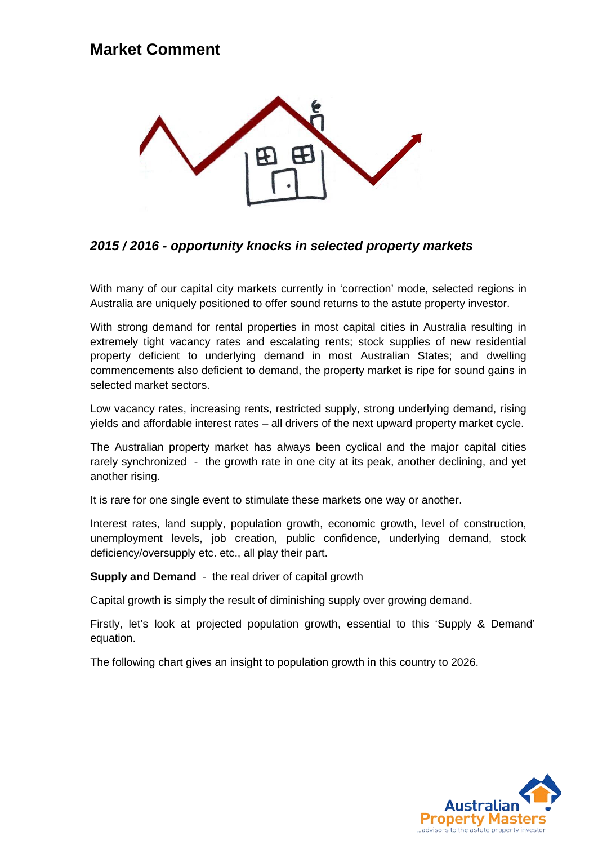### **Market Comment**



#### *2015 / 2016 - opportunity knocks in selected property markets*

With many of our capital city markets currently in 'correction' mode, selected regions in Australia are uniquely positioned to offer sound returns to the astute property investor.

With strong demand for rental properties in most capital cities in Australia resulting in extremely tight vacancy rates and escalating rents; stock supplies of new residential property deficient to underlying demand in most Australian States; and dwelling commencements also deficient to demand, the property market is ripe for sound gains in selected market sectors.

Low vacancy rates, increasing rents, restricted supply, strong underlying demand, rising yields and affordable interest rates – all drivers of the next upward property market cycle.

The Australian property market has always been cyclical and the major capital cities rarely synchronized - the growth rate in one city at its peak, another declining, and yet another rising.

It is rare for one single event to stimulate these markets one way or another.

Interest rates, land supply, population growth, economic growth, level of construction, unemployment levels, job creation, public confidence, underlying demand, stock deficiency/oversupply etc. etc., all play their part.

**Supply and Demand** - the real driver of capital growth

Capital growth is simply the result of diminishing supply over growing demand.

Firstly, let's look at projected population growth, essential to this 'Supply & Demand' equation.

The following chart gives an insight to population growth in this country to 2026.

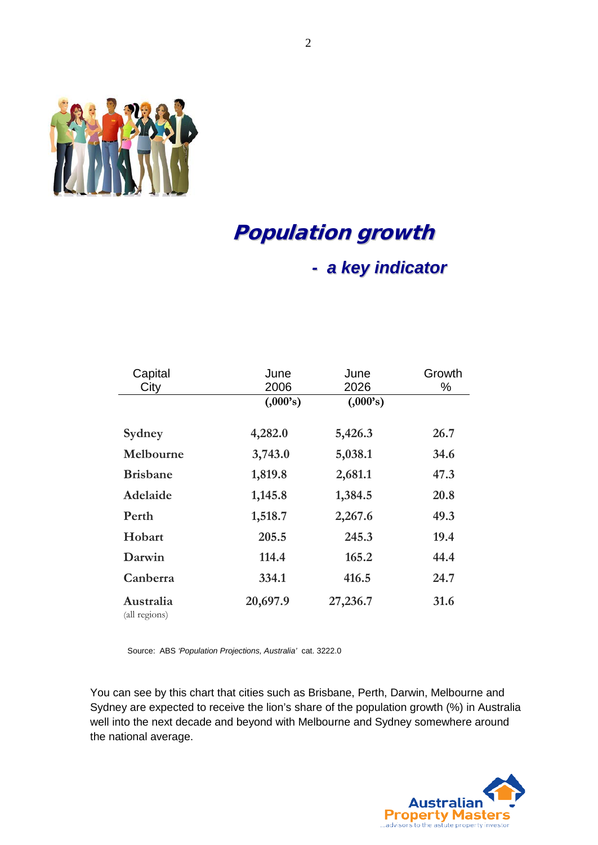

# Population growth

### *- a key indicator*

| Capital<br>City            | June<br>2006 | June<br>2026 | Growth<br>% |
|----------------------------|--------------|--------------|-------------|
|                            | (.000's)     | (.000's)     |             |
| Sydney                     | 4,282.0      | 5,426.3      | 26.7        |
| Melbourne                  | 3,743.0      | 5,038.1      | 34.6        |
| <b>Brisbane</b>            | 1,819.8      | 2,681.1      | 47.3        |
| Adelaide                   | 1,145.8      | 1,384.5      | 20.8        |
| Perth                      | 1,518.7      | 2,267.6      | 49.3        |
| Hobart                     | 205.5        | 245.3        | 19.4        |
| Darwin                     | 114.4        | 165.2        | 44.4        |
| Canberra                   | 334.1        | 416.5        | 24.7        |
| Australia<br>(all regions) | 20,697.9     | 27,236.7     | 31.6        |

Source: ABS *'Population Projections, Australia'* cat. 3222.0

You can see by this chart that cities such as Brisbane, Perth, Darwin, Melbourne and Sydney are expected to receive the lion's share of the population growth (%) in Australia well into the next decade and beyond with Melbourne and Sydney somewhere around the national average.

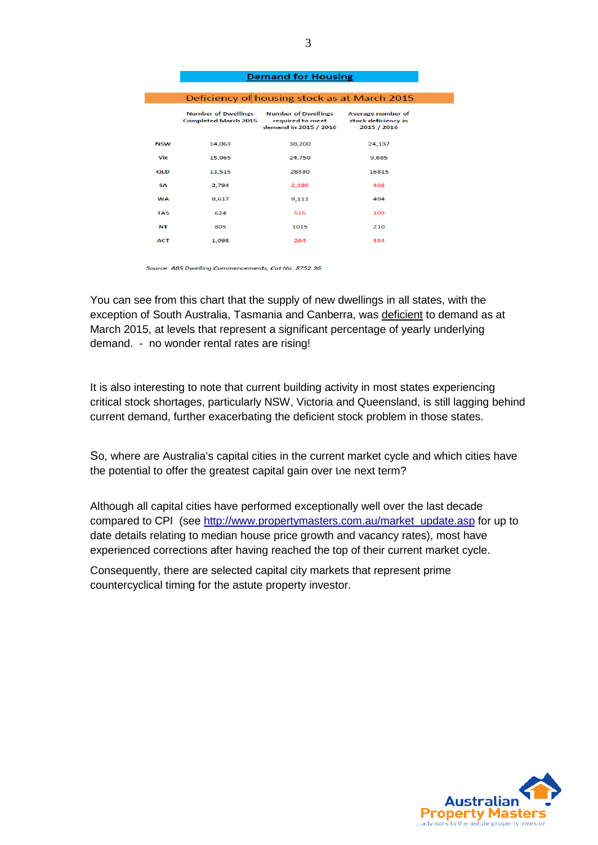|            | Deficiency of housing stock as at March 2015              |                                                                         |                                                         |  |  |  |
|------------|-----------------------------------------------------------|-------------------------------------------------------------------------|---------------------------------------------------------|--|--|--|
|            | <b>Number of Dwellings</b><br><b>Completed March 2015</b> | <b>Number of Dwellings</b><br>required to meet<br>demand in 2015 / 2016 | Average number of<br>stock deficiency in<br>2015 / 2016 |  |  |  |
| <b>NSW</b> | 14,063                                                    | 38,200                                                                  | 24.137                                                  |  |  |  |
| Vic        | 15,065                                                    | 24,750                                                                  | 9,685                                                   |  |  |  |
| QLD        | 11,515                                                    | 28330                                                                   | 16815                                                   |  |  |  |
| <b>SA</b>  | 2.794                                                     | 2,386                                                                   | 408                                                     |  |  |  |
| <b>WA</b>  | 8,617                                                     | 9,111                                                                   | 494                                                     |  |  |  |
| <b>TAS</b> | 624                                                       | 515                                                                     | 109                                                     |  |  |  |
| NT         | 805                                                       | 1015                                                                    | 210                                                     |  |  |  |
| <b>ACT</b> | 1,098                                                     | 264                                                                     | 834                                                     |  |  |  |
|            |                                                           |                                                                         |                                                         |  |  |  |

Domand for Hough

Source: ABS Dwelling Commencements, Cat No: 8752.36

You can see from this chart that the supply of new dwellings in all states, with the exception of South Australia, Tasmania and Canberra, was deficient to demand as at March 2015, at levels that represent a significant percentage of yearly underlying demand. - no wonder rental rates are rising!

It is also interesting to note that current building activity in most states experiencing critical stock shortages, particularly NSW, Victoria and Queensland, is still lagging behind current demand, further exacerbating the deficient stock problem in those states.

So, where are Australia's capital cities in the current market cycle and which cities have the potential to offer the greatest capital gain over the next term?

Although all capital cities have performed exceptionally well over the last decade compared to CPI (see [http://www.propertymasters.com.au/market\\_update.asp](http://www.propertymasters.com.au/market_update.asp) for up to date details relating to median house price growth and vacancy rates), most have experienced corrections after having reached the top of their current market cycle.

Consequently, there are selected capital city markets that represent prime countercyclical timing for the astute property investor.

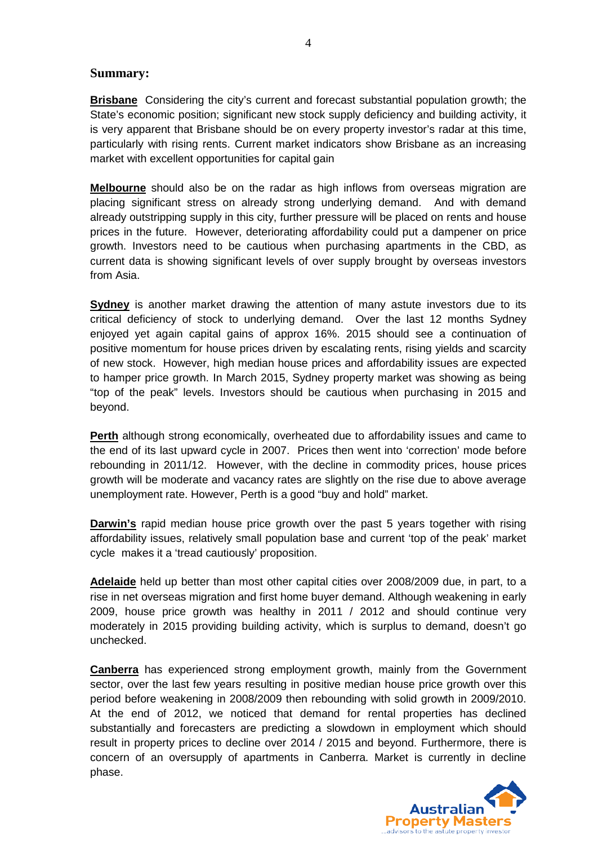#### **Summary:**

**Brisbane** Considering the city's current and forecast substantial population growth; the State's economic position; significant new stock supply deficiency and building activity, it is very apparent that Brisbane should be on every property investor's radar at this time, particularly with rising rents. Current market indicators show Brisbane as an increasing market with excellent opportunities for capital gain

**Melbourne** should also be on the radar as high inflows from overseas migration are placing significant stress on already strong underlying demand. And with demand already outstripping supply in this city, further pressure will be placed on rents and house prices in the future. However, deteriorating affordability could put a dampener on price growth. Investors need to be cautious when purchasing apartments in the CBD, as current data is showing significant levels of over supply brought by overseas investors from Asia.

**Sydney** is another market drawing the attention of many astute investors due to its critical deficiency of stock to underlying demand. Over the last 12 months Sydney enjoyed yet again capital gains of approx 16%. 2015 should see a continuation of positive momentum for house prices driven by escalating rents, rising yields and scarcity of new stock. However, high median house prices and affordability issues are expected to hamper price growth. In March 2015, Sydney property market was showing as being "top of the peak" levels. Investors should be cautious when purchasing in 2015 and beyond.

**Perth** although strong economically, overheated due to affordability issues and came to the end of its last upward cycle in 2007. Prices then went into 'correction' mode before rebounding in 2011/12. However, with the decline in commodity prices, house prices growth will be moderate and vacancy rates are slightly on the rise due to above average unemployment rate. However, Perth is a good "buy and hold" market.

**Darwin's** rapid median house price growth over the past 5 years together with rising affordability issues, relatively small population base and current 'top of the peak' market cycle makes it a 'tread cautiously' proposition.

**Adelaide** held up better than most other capital cities over 2008/2009 due, in part, to a rise in net overseas migration and first home buyer demand. Although weakening in early 2009, house price growth was healthy in 2011 / 2012 and should continue very moderately in 2015 providing building activity, which is surplus to demand, doesn't go unchecked.

**Canberra** has experienced strong employment growth, mainly from the Government sector, over the last few years resulting in positive median house price growth over this period before weakening in 2008/2009 then rebounding with solid growth in 2009/2010. At the end of 2012, we noticed that demand for rental properties has declined substantially and forecasters are predicting a slowdown in employment which should result in property prices to decline over 2014 / 2015 and beyond. Furthermore, there is concern of an oversupply of apartments in Canberra. Market is currently in decline phase.

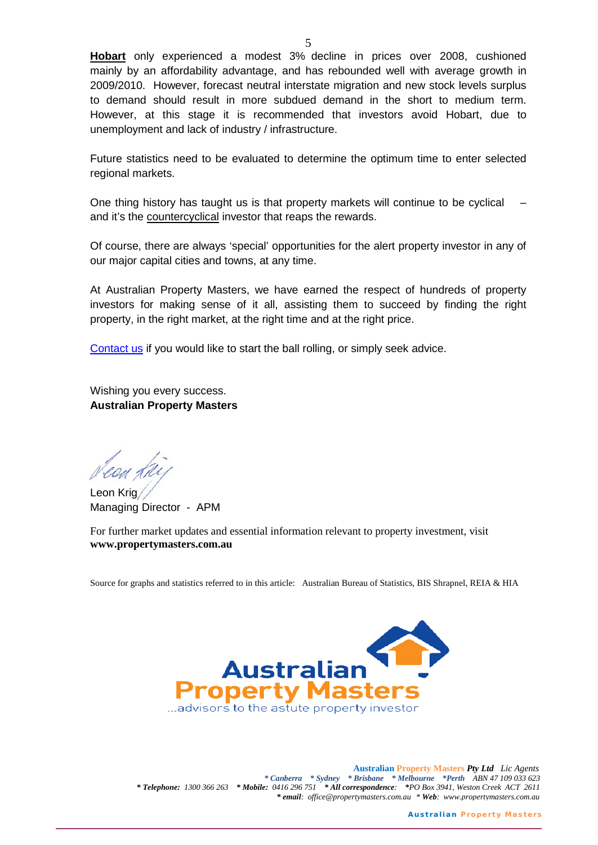**Hobart** only experienced a modest 3% decline in prices over 2008, cushioned mainly by an affordability advantage, and has rebounded well with average growth in 2009/2010. However, forecast neutral interstate migration and new stock levels surplus to demand should result in more subdued demand in the short to medium term. However, at this stage it is recommended that investors avoid Hobart, due to unemployment and lack of industry / infrastructure.

Future statistics need to be evaluated to determine the optimum time to enter selected regional markets.

One thing history has taught us is that property markets will continue to be cyclical – and it's the countercyclical investor that reaps the rewards.

Of course, there are always 'special' opportunities for the alert property investor in any of our major capital cities and towns, at any time.

At Australian Property Masters, we have earned the respect of hundreds of property investors for making sense of it all, assisting them to succeed by finding the right property, in the right market, at the right time and at the right price.

[Contact us](http://www.propertymasters.com.au/contact_us.asp) if you would like to start the ball rolling, or simply seek advice.

Wishing you every success. **Australian Property Masters**

Leon Krig Managing Director - APM

For further market updates and essential information relevant to property investment, visit **www.propertymasters.com.au**

Source for graphs and statistics referred to in this article: Australian Bureau of Statistics, BIS Shrapnel, REIA & HIA



**Australian Property Masters** *Pty Ltd Lic Agents \* Canberra \* Sydney \* Brisbane \* Melbourne \*Perth ABN 47 109 033 623 \* Telephone: 1300 366 263 \* Mobile: 0416 296 751 \* All correspondence: \*PO Box 3941, Weston Creek ACT 2611 \* email: [office@propertymasters.com.au](mailto:office@propertymasters.com.au) \* Web: www.propertymasters.com.au*